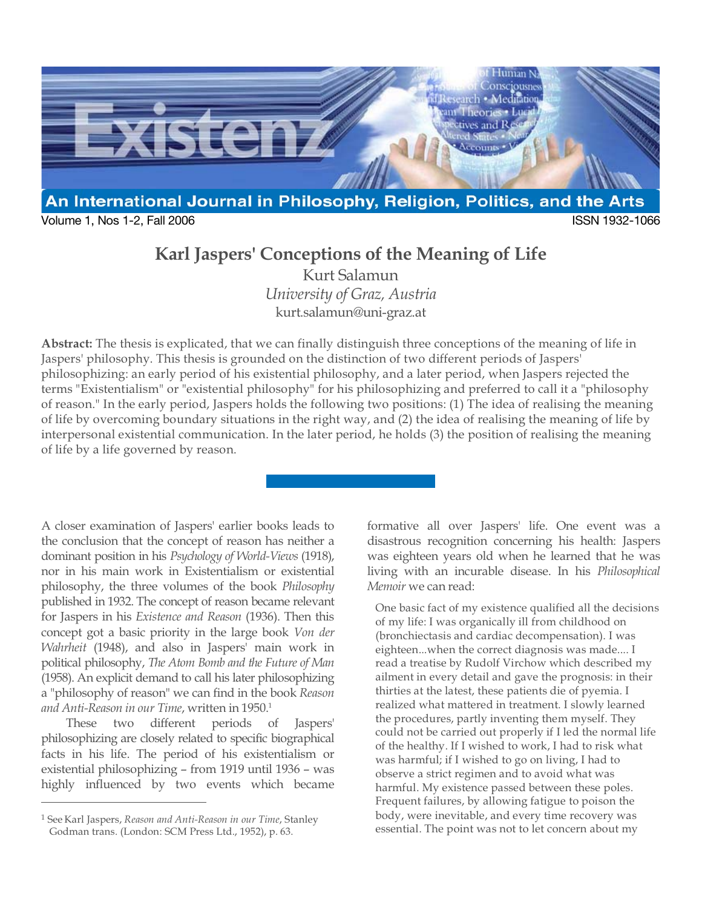

Volume 1, Nos 1-2, Fall 2006 ISSN 1932-1066

# **Karl Jaspers' Conceptions of the Meaning of Life**

Kurt Salamun *University of Graz, Austria*  kurt.salamun@uni-graz.at

**Abstract:** The thesis is explicated, that we can finally distinguish three conceptions of the meaning of life in Jaspers' philosophy. This thesis is grounded on the distinction of two different periods of Jaspers' philosophizing: an early period of his existential philosophy, and a later period, when Jaspers rejected the terms "Existentialism" or "existential philosophy" for his philosophizing and preferred to call it a "philosophy of reason." In the early period, Jaspers holds the following two positions: (1) The idea of realising the meaning of life by overcoming boundary situations in the right way, and (2) the idea of realising the meaning of life by interpersonal existential communication. In the later period, he holds (3) the position of realising the meaning of life by a life governed by reason.

A closer examination of Jaspers' earlier books leads to the conclusion that the concept of reason has neither a dominant position in his *Psychology of World-Views* (1918), nor in his main work in Existentialism or existential philosophy, the three volumes of the book *Philosophy* published in 1932. The concept of reason became relevant for Jaspers in his *Existence and Reason* (1936). Then this concept got a basic priority in the large book *Von der Wahrheit* (1948), and also in Jaspers' main work in political philosophy, *The Atom Bomb and the Future of Man* (1958). An explicit demand to call his later philosophizing a "philosophy of reason" we can find in the book *Reason*  and Anti-Reason in our Time, written in 1950.<sup>1</sup>

These two different periods of Jaspers' philosophizing are closely related to specific biographical facts in his life. The period of his existentialism or existential philosophizing – from 1919 until 1936 – was highly influenced by two events which became

 $\overline{a}$ 

formative all over Jaspers' life. One event was a disastrous recognition concerning his health: Jaspers was eighteen years old when he learned that he was living with an incurable disease. In his *Philosophical Memoir* we can read:

One basic fact of my existence qualified all the decisions of my life: I was organically ill from childhood on (bronchiectasis and cardiac decompensation). I was eighteen...when the correct diagnosis was made.... I read a treatise by Rudolf Virchow which described my ailment in every detail and gave the prognosis: in their thirties at the latest, these patients die of pyemia. I realized what mattered in treatment. I slowly learned the procedures, partly inventing them myself. They could not be carried out properly if I led the normal life of the healthy. If I wished to work, I had to risk what was harmful; if I wished to go on living, I had to observe a strict regimen and to avoid what was harmful. My existence passed between these poles. Frequent failures, by allowing fatigue to poison the body, were inevitable, and every time recovery was essential. The point was not to let concern about my

<sup>1</sup> See Karl Jaspers, *Reason and Anti-Reason in our Time*, Stanley Godman trans. (London: SCM Press Ltd., 1952), p. 63.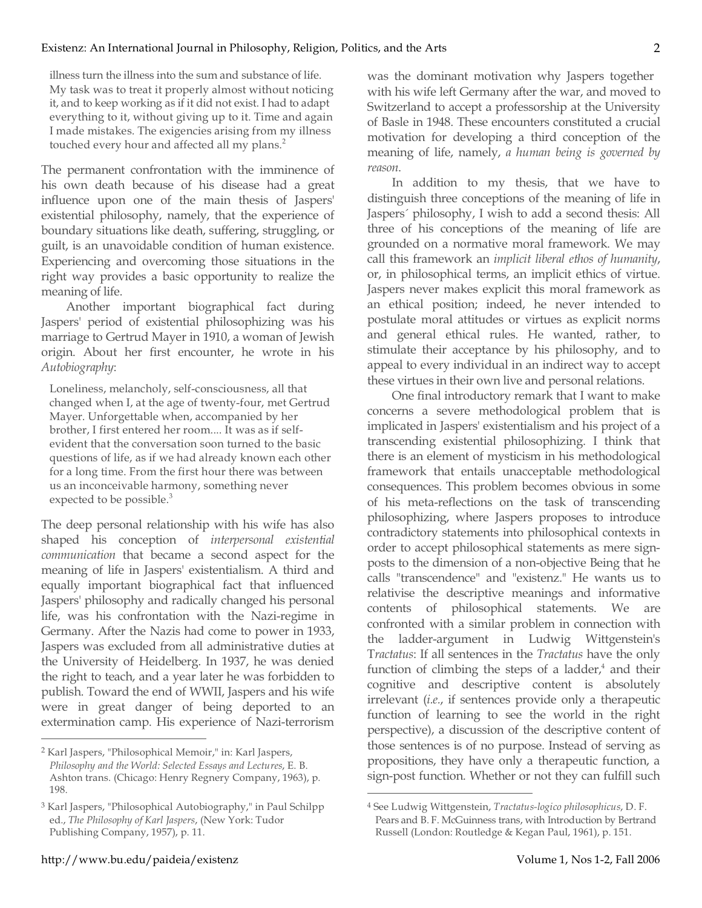illness turn the illness into the sum and substance of life. My task was to treat it properly almost without noticing it, and to keep working as if it did not exist. I had to adapt everything to it, without giving up to it. Time and again I made mistakes. The exigencies arising from my illness touched every hour and affected all my plans.<sup>2</sup>

The permanent confrontation with the imminence of his own death because of his disease had a great influence upon one of the main thesis of Jaspers' existential philosophy, namely, that the experience of boundary situations like death, suffering, struggling, or guilt, is an unavoidable condition of human existence. Experiencing and overcoming those situations in the right way provides a basic opportunity to realize the meaning of life.

Another important biographical fact during Jaspers' period of existential philosophizing was his marriage to Gertrud Mayer in 1910, a woman of Jewish origin. About her first encounter, he wrote in his *Autobiography*:

Loneliness, melancholy, self-consciousness, all that changed when I, at the age of twenty-four, met Gertrud Mayer. Unforgettable when, accompanied by her brother, I first entered her room.... It was as if selfevident that the conversation soon turned to the basic questions of life, as if we had already known each other for a long time. From the first hour there was between us an inconceivable harmony, something never expected to be possible.<sup>3</sup>

The deep personal relationship with his wife has also shaped his conception of *interpersonal existential communication* that became a second aspect for the meaning of life in Jaspers' existentialism. A third and equally important biographical fact that influenced Jaspers' philosophy and radically changed his personal life, was his confrontation with the Nazi-regime in Germany. After the Nazis had come to power in 1933, Jaspers was excluded from all administrative duties at the University of Heidelberg. In 1937, he was denied the right to teach, and a year later he was forbidden to publish. Toward the end of WWII, Jaspers and his wife were in great danger of being deported to an extermination camp. His experience of Nazi-terrorism

was the dominant motivation why Jaspers together with his wife left Germany after the war, and moved to Switzerland to accept a professorship at the University of Basle in 1948. These encounters constituted a crucial motivation for developing a third conception of the meaning of life, namely, *a human being is governed by reason*.

In addition to my thesis, that we have to distinguish three conceptions of the meaning of life in Jaspers´ philosophy, I wish to add a second thesis: All three of his conceptions of the meaning of life are grounded on a normative moral framework. We may call this framework an *implicit liberal ethos of humanity*, or, in philosophical terms, an implicit ethics of virtue. Jaspers never makes explicit this moral framework as an ethical position; indeed, he never intended to postulate moral attitudes or virtues as explicit norms and general ethical rules. He wanted, rather, to stimulate their acceptance by his philosophy, and to appeal to every individual in an indirect way to accept these virtues in their own live and personal relations.

One final introductory remark that I want to make concerns a severe methodological problem that is implicated in Jaspers' existentialism and his project of a transcending existential philosophizing. I think that there is an element of mysticism in his methodological framework that entails unacceptable methodological consequences. This problem becomes obvious in some of his meta-reflections on the task of transcending philosophizing, where Jaspers proposes to introduce contradictory statements into philosophical contexts in order to accept philosophical statements as mere signposts to the dimension of a non-objective Being that he calls "transcendence" and "existenz." He wants us to relativise the descriptive meanings and informative contents of philosophical statements. We are confronted with a similar problem in connection with the ladder-argument in Ludwig Wittgenstein's T*ractatus*: If all sentences in the *Tractatus* have the only function of climbing the steps of a ladder, $4$  and their cognitive and descriptive content is absolutely irrelevant (*i.e.*, if sentences provide only a therapeutic function of learning to see the world in the right perspective), a discussion of the descriptive content of those sentences is of no purpose. Instead of serving as propositions, they have only a therapeutic function, a sign-post function. Whether or not they can fulfill such

 $\overline{a}$ 

<sup>2</sup> Karl Jaspers, "Philosophical Memoir," in: Karl Jaspers, *Philosophy and the World: Selected Essays and Lectures*, E. B. Ashton trans. (Chicago: Henry Regnery Company, 1963), p. 198.

<sup>3</sup> Karl Jaspers, "Philosophical Autobiography," in Paul Schilpp ed., *The Philosophy of Karl Jaspers*, (New York: Tudor Publishing Company, 1957), p. 11.

<sup>4</sup> See Ludwig Wittgenstein, *Tractatus-logico philosophicus*, D. F. Pears and B. F. McGuinness trans, with Introduction by Bertrand Russell (London: Routledge & Kegan Paul, 1961), p. 151.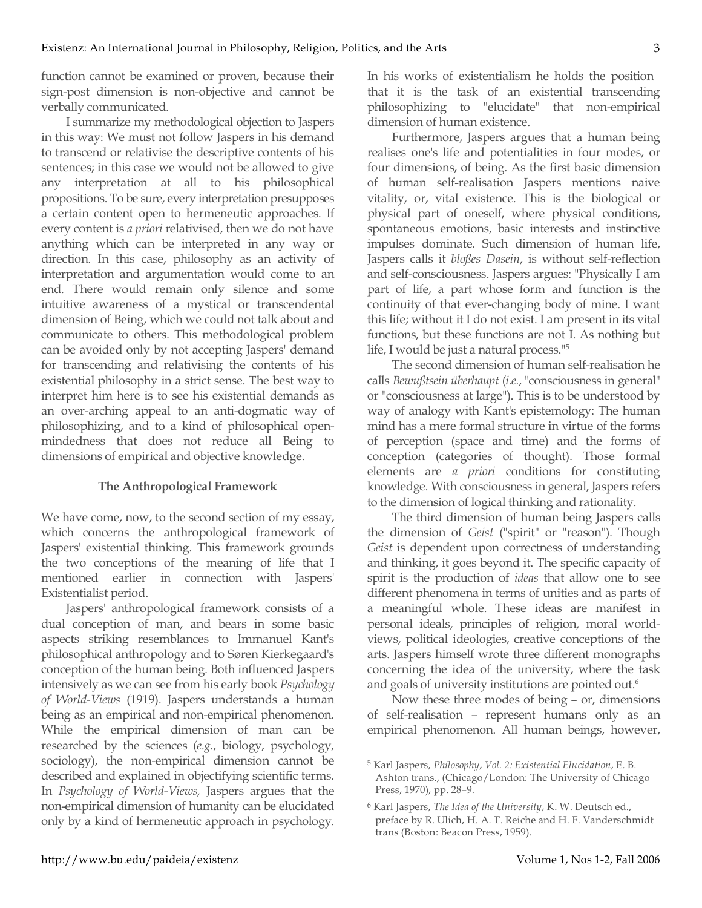function cannot be examined or proven, because their sign-post dimension is non-objective and cannot be verbally communicated.

I summarize my methodological objection to Jaspers in this way: We must not follow Jaspers in his demand to transcend or relativise the descriptive contents of his sentences; in this case we would not be allowed to give any interpretation at all to his philosophical propositions. To be sure, every interpretation presupposes a certain content open to hermeneutic approaches. If every content is *a priori* relativised, then we do not have anything which can be interpreted in any way or direction. In this case, philosophy as an activity of interpretation and argumentation would come to an end. There would remain only silence and some intuitive awareness of a mystical or transcendental dimension of Being, which we could not talk about and communicate to others. This methodological problem can be avoided only by not accepting Jaspers' demand for transcending and relativising the contents of his existential philosophy in a strict sense. The best way to interpret him here is to see his existential demands as an over-arching appeal to an anti-dogmatic way of philosophizing, and to a kind of philosophical openmindedness that does not reduce all Being to dimensions of empirical and objective knowledge.

## **The Anthropological Framework**

We have come, now, to the second section of my essay, which concerns the anthropological framework of Jaspers' existential thinking. This framework grounds the two conceptions of the meaning of life that I mentioned earlier in connection with Jaspers' Existentialist period.

Jaspers' anthropological framework consists of a dual conception of man, and bears in some basic aspects striking resemblances to Immanuel Kant's philosophical anthropology and to Søren Kierkegaard's conception of the human being. Both influenced Jaspers intensively as we can see from his early book *Psychology of World-Views* (1919). Jaspers understands a human being as an empirical and non-empirical phenomenon. While the empirical dimension of man can be researched by the sciences (*e.g.*, biology, psychology, sociology), the non-empirical dimension cannot be described and explained in objectifying scientific terms. In *Psychology of World-Views,* Jaspers argues that the non-empirical dimension of humanity can be elucidated only by a kind of hermeneutic approach in psychology.

In his works of existentialism he holds the position that it is the task of an existential transcending philosophizing to "elucidate" that non-empirical dimension of human existence.

Furthermore, Jaspers argues that a human being realises one's life and potentialities in four modes, or four dimensions, of being. As the first basic dimension of human self-realisation Jaspers mentions naive vitality, or, vital existence. This is the biological or physical part of oneself, where physical conditions, spontaneous emotions, basic interests and instinctive impulses dominate. Such dimension of human life, Jaspers calls it *bloßes Dasein*, is without self-reflection and self-consciousness. Jaspers argues: "Physically I am part of life, a part whose form and function is the continuity of that ever-changing body of mine. I want this life; without it I do not exist. I am present in its vital functions, but these functions are not I. As nothing but life, I would be just a natural process."5

The second dimension of human self-realisation he calls *Bewußtsein überhaupt* (*i.e.*, "consciousness in general" or "consciousness at large"). This is to be understood by way of analogy with Kant's epistemology: The human mind has a mere formal structure in virtue of the forms of perception (space and time) and the forms of conception (categories of thought). Those formal elements are *a priori* conditions for constituting knowledge. With consciousness in general, Jaspers refers to the dimension of logical thinking and rationality.

The third dimension of human being Jaspers calls the dimension of *Geist* ("spirit" or "reason"). Though *Geist* is dependent upon correctness of understanding and thinking, it goes beyond it. The specific capacity of spirit is the production of *ideas* that allow one to see different phenomena in terms of unities and as parts of a meaningful whole. These ideas are manifest in personal ideals, principles of religion, moral worldviews, political ideologies, creative conceptions of the arts. Jaspers himself wrote three different monographs concerning the idea of the university, where the task and goals of university institutions are pointed out.<sup>6</sup>

Now these three modes of being – or, dimensions of self-realisation – represent humans only as an empirical phenomenon. All human beings, however,

<sup>5</sup> Karl Jaspers, *Philosophy*, *Vol. 2: Existential Elucidation*, E. B. Ashton trans., (Chicago/London: The University of Chicago Press, 1970), pp. 28–9.

<sup>6</sup> Karl Jaspers, *The Idea of the University*, K. W. Deutsch ed., preface by R. Ulich, H. A. T. Reiche and H. F. Vanderschmidt trans (Boston: Beacon Press, 1959).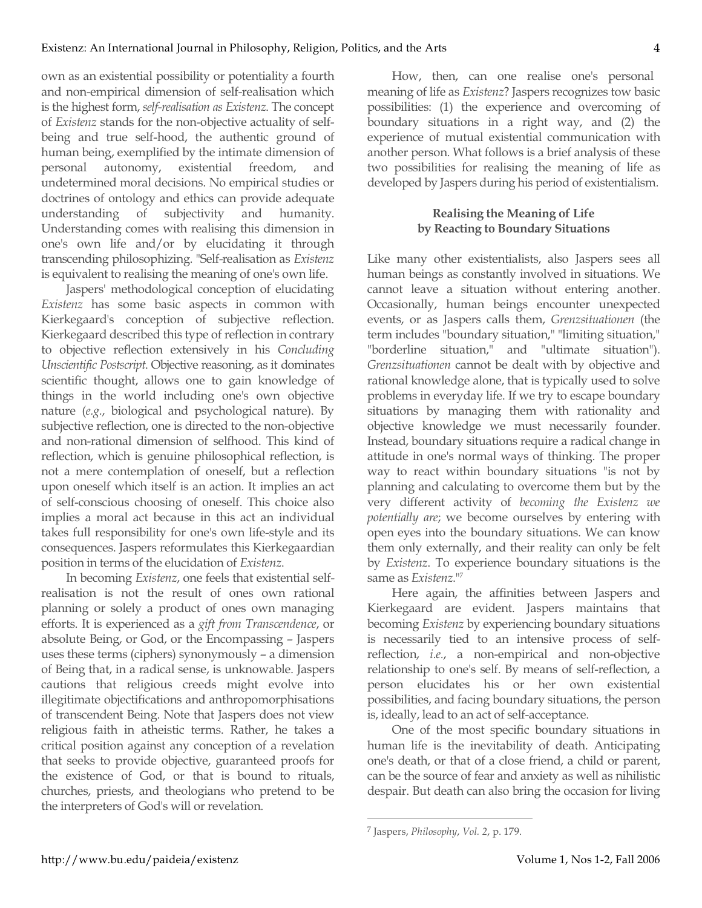own as an existential possibility or potentiality a fourth and non-empirical dimension of self-realisation which is the highest form, *self-realisation as Existenz*. The concept of *Existenz* stands for the non-objective actuality of selfbeing and true self-hood, the authentic ground of human being, exemplified by the intimate dimension of personal autonomy, existential freedom, and undetermined moral decisions. No empirical studies or doctrines of ontology and ethics can provide adequate understanding of subjectivity and humanity. Understanding comes with realising this dimension in one's own life and/or by elucidating it through transcending philosophizing. "Self-realisation as *Existenz* is equivalent to realising the meaning of one's own life.

Jaspers' methodological conception of elucidating *Existenz* has some basic aspects in common with Kierkegaard's conception of subjective reflection. Kierkegaard described this type of reflection in contrary to objective reflection extensively in his *Concluding Unscientific Postscript*. Objective reasoning, as it dominates scientific thought, allows one to gain knowledge of things in the world including one's own objective nature (*e.g.*, biological and psychological nature). By subjective reflection, one is directed to the non-objective and non-rational dimension of selfhood. This kind of reflection, which is genuine philosophical reflection, is not a mere contemplation of oneself, but a reflection upon oneself which itself is an action. It implies an act of self-conscious choosing of oneself. This choice also implies a moral act because in this act an individual takes full responsibility for one's own life-style and its consequences. Jaspers reformulates this Kierkegaardian position in terms of the elucidation of *Existenz*.

In becoming *Existenz*, one feels that existential selfrealisation is not the result of ones own rational planning or solely a product of ones own managing efforts. It is experienced as a *gift from Transcendence*, or absolute Being, or God, or the Encompassing – Jaspers uses these terms (ciphers) synonymously – a dimension of Being that, in a radical sense, is unknowable. Jaspers cautions that religious creeds might evolve into illegitimate objectifications and anthropomorphisations of transcendent Being. Note that Jaspers does not view religious faith in atheistic terms. Rather, he takes a critical position against any conception of a revelation that seeks to provide objective, guaranteed proofs for the existence of God, or that is bound to rituals, churches, priests, and theologians who pretend to be the interpreters of God's will or revelation.

How, then, can one realise one's personal meaning of life as *Existenz*? Jaspers recognizes tow basic possibilities: (1) the experience and overcoming of boundary situations in a right way, and (2) the experience of mutual existential communication with another person. What follows is a brief analysis of these two possibilities for realising the meaning of life as developed by Jaspers during his period of existentialism.

## **Realising the Meaning of Life by Reacting to Boundary Situations**

Like many other existentialists, also Jaspers sees all human beings as constantly involved in situations. We cannot leave a situation without entering another. Occasionally, human beings encounter unexpected events, or as Jaspers calls them, *Grenzsituationen* (the term includes "boundary situation," "limiting situation," "borderline situation," and "ultimate situation"). *Grenzsituationen* cannot be dealt with by objective and rational knowledge alone, that is typically used to solve problems in everyday life. If we try to escape boundary situations by managing them with rationality and objective knowledge we must necessarily founder. Instead, boundary situations require a radical change in attitude in one's normal ways of thinking. The proper way to react within boundary situations "is not by planning and calculating to overcome them but by the very different activity of *becoming the Existenz we potentially are*; we become ourselves by entering with open eyes into the boundary situations. We can know them only externally, and their reality can only be felt by *Existenz*. To experience boundary situations is the same as *Existenz*."7

Here again, the affinities between Jaspers and Kierkegaard are evident. Jaspers maintains that becoming *Existenz* by experiencing boundary situations is necessarily tied to an intensive process of selfreflection, *i.e.*, a non-empirical and non-objective relationship to one's self. By means of self-reflection, a person elucidates his or her own existential possibilities, and facing boundary situations, the person is, ideally, lead to an act of self-acceptance.

One of the most specific boundary situations in human life is the inevitability of death. Anticipating one's death, or that of a close friend, a child or parent, can be the source of fear and anxiety as well as nihilistic despair. But death can also bring the occasion for living

<sup>7</sup> Jaspers, *Philosophy*, *Vol. 2*, p. 179.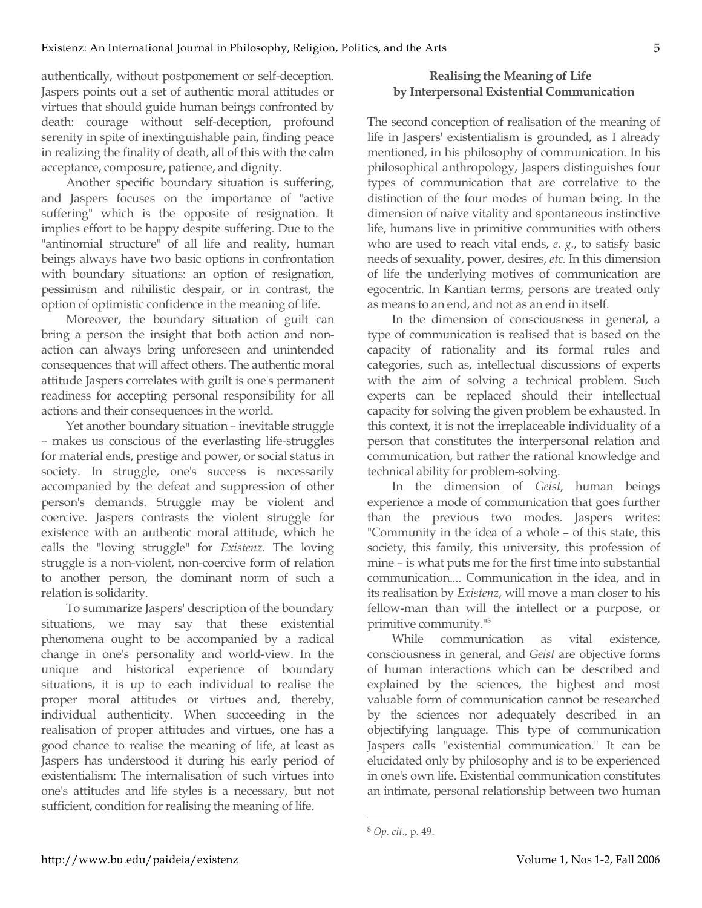authentically, without postponement or self-deception. Jaspers points out a set of authentic moral attitudes or virtues that should guide human beings confronted by death: courage without self-deception, profound serenity in spite of inextinguishable pain, finding peace in realizing the finality of death, all of this with the calm acceptance, composure, patience, and dignity.

Another specific boundary situation is suffering, and Jaspers focuses on the importance of "active suffering" which is the opposite of resignation. It implies effort to be happy despite suffering. Due to the "antinomial structure" of all life and reality, human beings always have two basic options in confrontation with boundary situations: an option of resignation, pessimism and nihilistic despair, or in contrast, the option of optimistic confidence in the meaning of life.

Moreover, the boundary situation of guilt can bring a person the insight that both action and nonaction can always bring unforeseen and unintended consequences that will affect others. The authentic moral attitude Jaspers correlates with guilt is one's permanent readiness for accepting personal responsibility for all actions and their consequences in the world.

Yet another boundary situation – inevitable struggle – makes us conscious of the everlasting life-struggles for material ends, prestige and power, or social status in society. In struggle, one's success is necessarily accompanied by the defeat and suppression of other person's demands. Struggle may be violent and coercive. Jaspers contrasts the violent struggle for existence with an authentic moral attitude, which he calls the "loving struggle" for *Existenz*. The loving struggle is a non-violent, non-coercive form of relation to another person, the dominant norm of such a relation is solidarity.

To summarize Jaspers' description of the boundary situations, we may say that these existential phenomena ought to be accompanied by a radical change in one's personality and world-view. In the unique and historical experience of boundary situations, it is up to each individual to realise the proper moral attitudes or virtues and, thereby, individual authenticity. When succeeding in the realisation of proper attitudes and virtues, one has a good chance to realise the meaning of life, at least as Jaspers has understood it during his early period of existentialism: The internalisation of such virtues into one's attitudes and life styles is a necessary, but not sufficient, condition for realising the meaning of life.

## **Realising the Meaning of Life by Interpersonal Existential Communication**

The second conception of realisation of the meaning of life in Jaspers' existentialism is grounded, as I already mentioned, in his philosophy of communication. In his philosophical anthropology, Jaspers distinguishes four types of communication that are correlative to the distinction of the four modes of human being. In the dimension of naive vitality and spontaneous instinctive life, humans live in primitive communities with others who are used to reach vital ends, *e. g.*, to satisfy basic needs of sexuality, power, desires, *etc.* In this dimension of life the underlying motives of communication are egocentric. In Kantian terms, persons are treated only as means to an end, and not as an end in itself.

In the dimension of consciousness in general, a type of communication is realised that is based on the capacity of rationality and its formal rules and categories, such as, intellectual discussions of experts with the aim of solving a technical problem. Such experts can be replaced should their intellectual capacity for solving the given problem be exhausted. In this context, it is not the irreplaceable individuality of a person that constitutes the interpersonal relation and communication, but rather the rational knowledge and technical ability for problem-solving.

In the dimension of *Geist*, human beings experience a mode of communication that goes further than the previous two modes. Jaspers writes: "Community in the idea of a whole – of this state, this society, this family, this university, this profession of mine – is what puts me for the first time into substantial communication.... Communication in the idea, and in its realisation by *Existenz*, will move a man closer to his fellow-man than will the intellect or a purpose, or primitive community."8

While communication as vital existence, consciousness in general, and *Geist* are objective forms of human interactions which can be described and explained by the sciences, the highest and most valuable form of communication cannot be researched by the sciences nor adequately described in an objectifying language. This type of communication Jaspers calls "existential communication." It can be elucidated only by philosophy and is to be experienced in one's own life. Existential communication constitutes an intimate, personal relationship between two human

<sup>8</sup> *Op. cit.*, p. 49.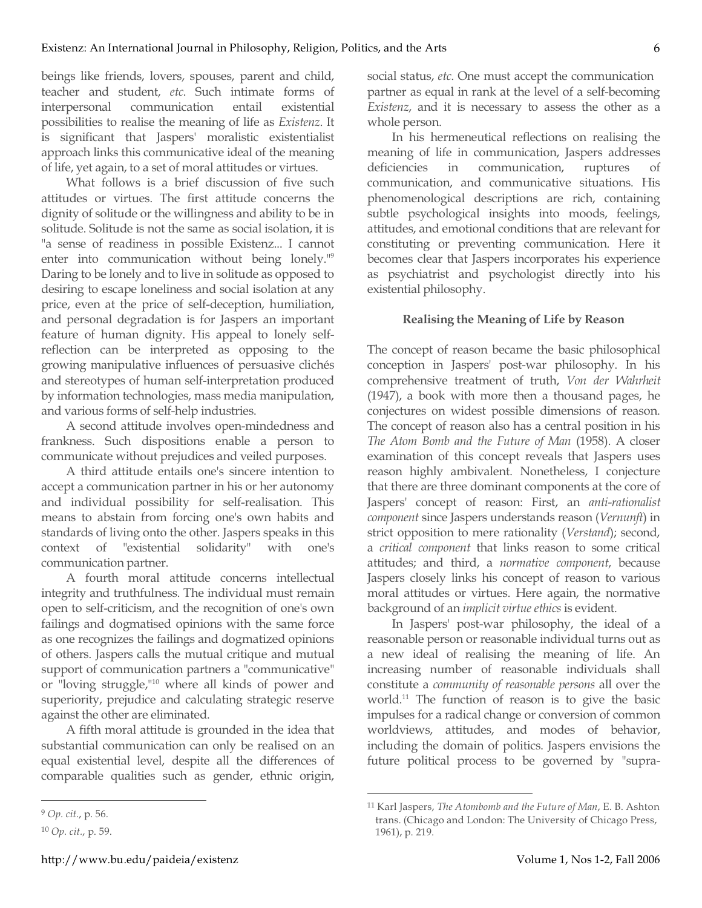beings like friends, lovers, spouses, parent and child, teacher and student, *etc*. Such intimate forms of interpersonal communication entail existential possibilities to realise the meaning of life as *Existenz*. It is significant that Jaspers' moralistic existentialist approach links this communicative ideal of the meaning of life, yet again, to a set of moral attitudes or virtues.

What follows is a brief discussion of five such attitudes or virtues. The first attitude concerns the dignity of solitude or the willingness and ability to be in solitude. Solitude is not the same as social isolation, it is "a sense of readiness in possible Existenz... I cannot enter into communication without being lonely."9 Daring to be lonely and to live in solitude as opposed to desiring to escape loneliness and social isolation at any price, even at the price of self-deception, humiliation, and personal degradation is for Jaspers an important feature of human dignity. His appeal to lonely selfreflection can be interpreted as opposing to the growing manipulative influences of persuasive clichés and stereotypes of human self-interpretation produced by information technologies, mass media manipulation, and various forms of self-help industries.

A second attitude involves open-mindedness and frankness. Such dispositions enable a person to communicate without prejudices and veiled purposes.

A third attitude entails one's sincere intention to accept a communication partner in his or her autonomy and individual possibility for self-realisation. This means to abstain from forcing one's own habits and standards of living onto the other. Jaspers speaks in this context of "existential solidarity" with one's context of "existential solidarity" with one's communication partner.

A fourth moral attitude concerns intellectual integrity and truthfulness. The individual must remain open to self-criticism, and the recognition of one's own failings and dogmatised opinions with the same force as one recognizes the failings and dogmatized opinions of others. Jaspers calls the mutual critique and mutual support of communication partners a "communicative" or "loving struggle,"10 where all kinds of power and superiority, prejudice and calculating strategic reserve against the other are eliminated.

A fifth moral attitude is grounded in the idea that substantial communication can only be realised on an equal existential level, despite all the differences of comparable qualities such as gender, ethnic origin,

 $\overline{a}$ 

social status, *etc*. One must accept the communication partner as equal in rank at the level of a self-becoming *Existenz*, and it is necessary to assess the other as a whole person.

In his hermeneutical reflections on realising the meaning of life in communication, Jaspers addresses deficiencies in communication, ruptures of communication, and communicative situations. His phenomenological descriptions are rich, containing subtle psychological insights into moods, feelings, attitudes, and emotional conditions that are relevant for constituting or preventing communication. Here it becomes clear that Jaspers incorporates his experience as psychiatrist and psychologist directly into his existential philosophy.

## **Realising the Meaning of Life by Reason**

The concept of reason became the basic philosophical conception in Jaspers' post-war philosophy. In his comprehensive treatment of truth, *Von der Wahrheit* (1947), a book with more then a thousand pages, he conjectures on widest possible dimensions of reason. The concept of reason also has a central position in his *The Atom Bomb and the Future of Man* (1958). A closer examination of this concept reveals that Jaspers uses reason highly ambivalent. Nonetheless, I conjecture that there are three dominant components at the core of Jaspers' concept of reason: First, an *anti-rationalist component* since Jaspers understands reason (*Vernunft*) in strict opposition to mere rationality (*Verstand*); second, a *critical component* that links reason to some critical attitudes; and third, a *normative component*, because Jaspers closely links his concept of reason to various moral attitudes or virtues. Here again, the normative background of an *implicit virtue ethics* is evident.

In Jaspers' post-war philosophy, the ideal of a reasonable person or reasonable individual turns out as a new ideal of realising the meaning of life. An increasing number of reasonable individuals shall constitute a *community of reasonable persons* all over the world.11 The function of reason is to give the basic impulses for a radical change or conversion of common worldviews, attitudes, and modes of behavior, including the domain of politics. Jaspers envisions the future political process to be governed by "supra-

<sup>9</sup> *Op. cit.*, p. 56.

<sup>10</sup> *Op. cit.*, p. 59.

<sup>11</sup> Karl Jaspers, *The Atombomb and the Future of Man*, E. B. Ashton trans. (Chicago and London: The University of Chicago Press, 1961), p. 219.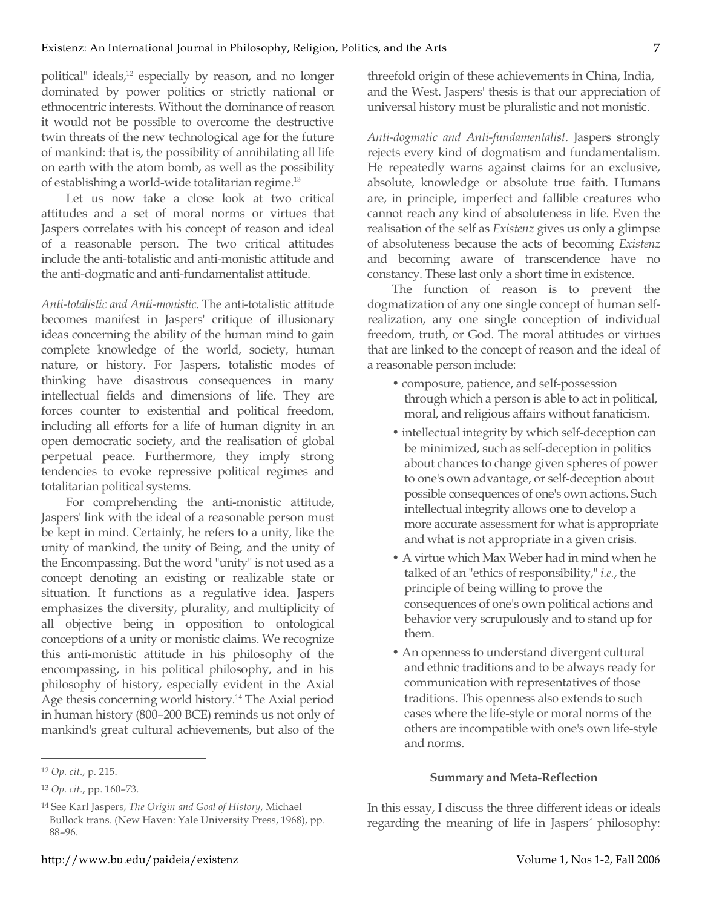political" ideals,<sup>12</sup> especially by reason, and no longer dominated by power politics or strictly national or ethnocentric interests. Without the dominance of reason it would not be possible to overcome the destructive twin threats of the new technological age for the future of mankind: that is, the possibility of annihilating all life on earth with the atom bomb, as well as the possibility of establishing a world-wide totalitarian regime.<sup>13</sup>

Let us now take a close look at two critical attitudes and a set of moral norms or virtues that Jaspers correlates with his concept of reason and ideal of a reasonable person. The two critical attitudes include the anti-totalistic and anti-monistic attitude and the anti-dogmatic and anti-fundamentalist attitude.

*Anti-totalistic and Anti-monistic*. The anti-totalistic attitude becomes manifest in Jaspers' critique of illusionary ideas concerning the ability of the human mind to gain complete knowledge of the world, society, human nature, or history. For Jaspers, totalistic modes of thinking have disastrous consequences in many intellectual fields and dimensions of life. They are forces counter to existential and political freedom, including all efforts for a life of human dignity in an open democratic society, and the realisation of global perpetual peace. Furthermore, they imply strong tendencies to evoke repressive political regimes and totalitarian political systems.

For comprehending the anti-monistic attitude, Jaspers' link with the ideal of a reasonable person must be kept in mind. Certainly, he refers to a unity, like the unity of mankind, the unity of Being, and the unity of the Encompassing. But the word "unity" is not used as a concept denoting an existing or realizable state or situation. It functions as a regulative idea. Jaspers emphasizes the diversity, plurality, and multiplicity of all objective being in opposition to ontological conceptions of a unity or monistic claims. We recognize this anti-monistic attitude in his philosophy of the encompassing, in his political philosophy, and in his philosophy of history, especially evident in the Axial Age thesis concerning world history.<sup>14</sup> The Axial period in human history (800–200 BCE) reminds us not only of mankind's great cultural achievements, but also of the

 $\overline{a}$ 

threefold origin of these achievements in China, India, and the West. Jaspers' thesis is that our appreciation of universal history must be pluralistic and not monistic.

*Anti-dogmatic and Anti-fundamentalist*. Jaspers strongly rejects every kind of dogmatism and fundamentalism. He repeatedly warns against claims for an exclusive, absolute, knowledge or absolute true faith. Humans are, in principle, imperfect and fallible creatures who cannot reach any kind of absoluteness in life. Even the realisation of the self as *Existenz* gives us only a glimpse of absoluteness because the acts of becoming *Existenz* and becoming aware of transcendence have no constancy. These last only a short time in existence.

The function of reason is to prevent the dogmatization of any one single concept of human selfrealization, any one single conception of individual freedom, truth, or God. The moral attitudes or virtues that are linked to the concept of reason and the ideal of a reasonable person include:

- composure, patience, and self-possession through which a person is able to act in political, moral, and religious affairs without fanaticism.
- intellectual integrity by which self-deception can be minimized, such as self-deception in politics about chances to change given spheres of power to one's own advantage, or self-deception about possible consequences of one's own actions. Such intellectual integrity allows one to develop a more accurate assessment for what is appropriate and what is not appropriate in a given crisis.
- A virtue which Max Weber had in mind when he talked of an "ethics of responsibility," *i.e.*, the principle of being willing to prove the consequences of one's own political actions and behavior very scrupulously and to stand up for them.
- An openness to understand divergent cultural and ethnic traditions and to be always ready for communication with representatives of those traditions. This openness also extends to such cases where the life-style or moral norms of the others are incompatible with one's own life-style and norms.

## **Summary and Meta-Reflection**

In this essay, I discuss the three different ideas or ideals regarding the meaning of life in Jaspers´ philosophy:

<sup>12</sup> *Op. cit.*, p. 215.

<sup>13</sup> *Op. cit.*, pp. 160–73.

<sup>14</sup> See Karl Jaspers, *The Origin and Goal of History*, Michael Bullock trans. (New Haven: Yale University Press, 1968), pp. 88–96.